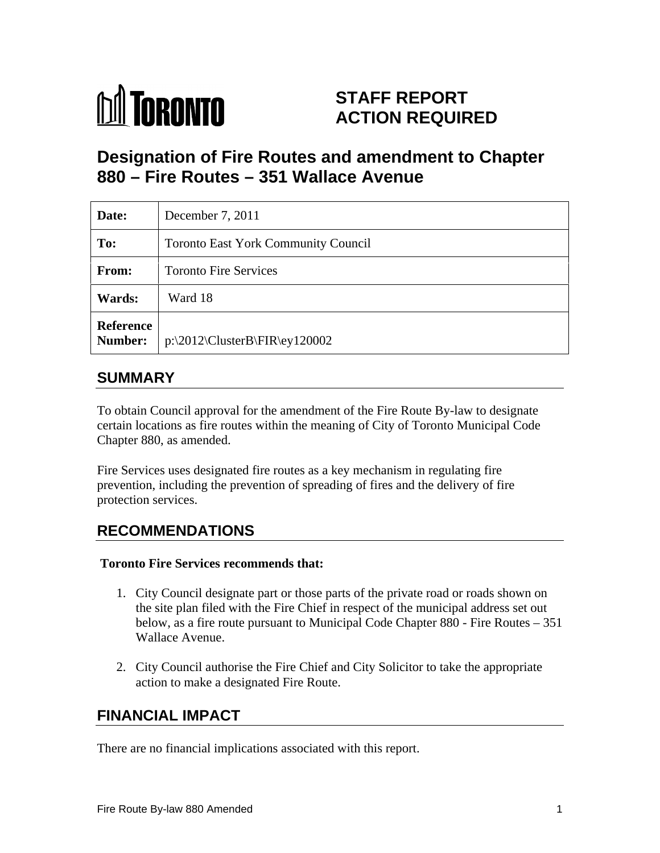

# **STAFF REPORT ACTION REQUIRED**

# **Designation of Fire Routes and amendment to Chapter 880 – Fire Routes – 351 Wallace Avenue**

| Date:         | December 7, 2011                              |
|---------------|-----------------------------------------------|
| To:           | Toronto East York Community Council           |
| <b>From:</b>  | Toronto Fire Services                         |
| <b>Wards:</b> | Ward 18                                       |
| Reference     | Number: $\vert$ p:\2012\ClusterB\FIR\ey120002 |

# **SUMMARY**

To obtain Council approval for the amendment of the Fire Route By-law to designate certain locations as fire routes within the meaning of City of Toronto Municipal Code Chapter 880, as amended.

Fire Services uses designated fire routes as a key mechanism in regulating fire prevention, including the prevention of spreading of fires and the delivery of fire protection services.

# **RECOMMENDATIONS**

#### **Toronto Fire Services recommends that:**

- 1. City Council designate part or those parts of the private road or roads shown on the site plan filed with the Fire Chief in respect of the municipal address set out below, as a fire route pursuant to Municipal Code Chapter 880 - Fire Routes – 351 Wallace Avenue.
- 2. City Council authorise the Fire Chief and City Solicitor to take the appropriate action to make a designated Fire Route.

# **FINANCIAL IMPACT**

There are no financial implications associated with this report.